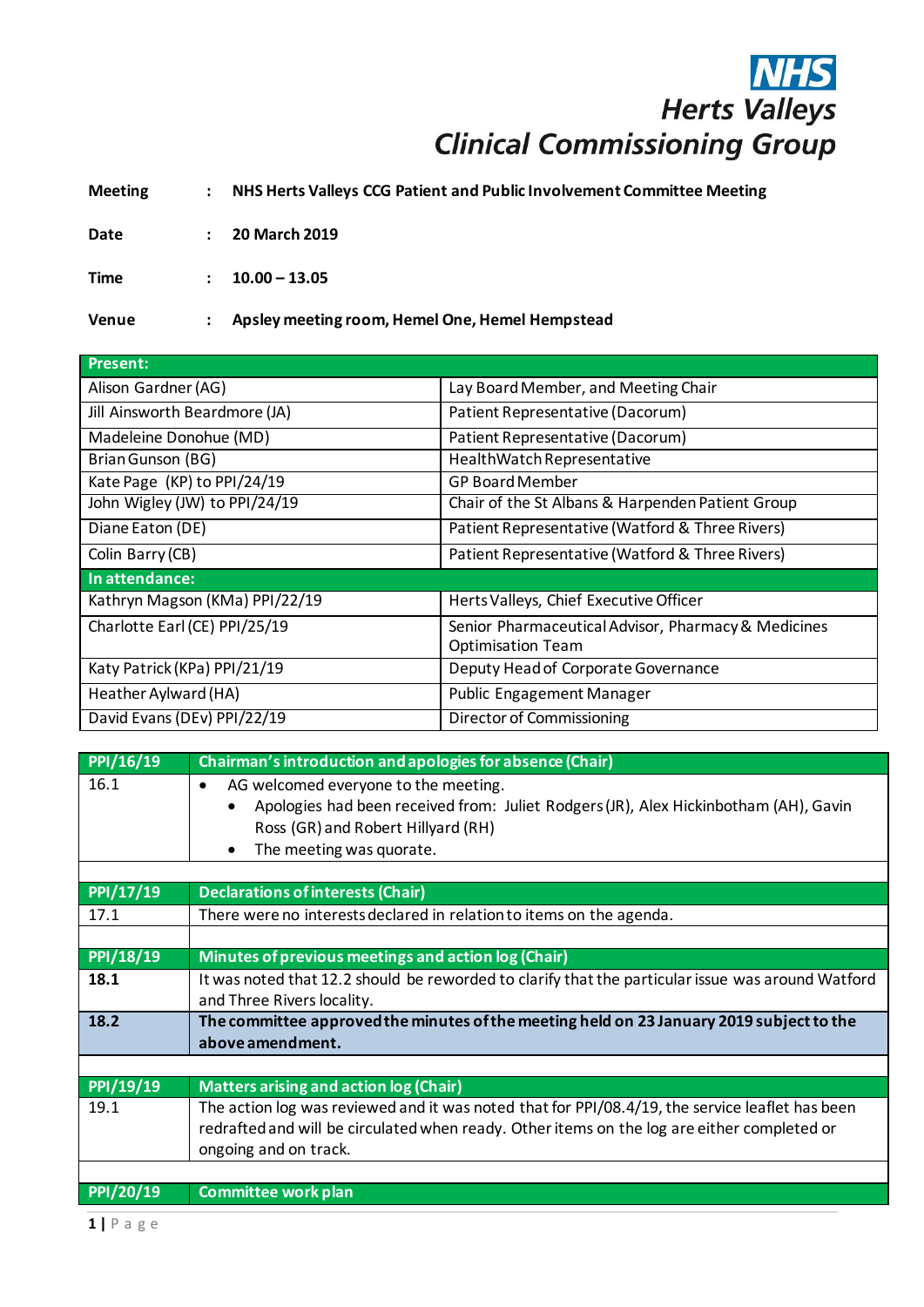## **NHS**<br>Herts Valleys **Clinical Commissioning Group**

**Meeting : NHS Herts Valleys CCG Patient and Public Involvement Committee Meeting**

**Date : 20 March 2019**

**Time : 10.00 – 13.05**

**Venue : Apsley meeting room, Hemel One, Hemel Hempstead**

| <b>Present:</b>                |                                                     |
|--------------------------------|-----------------------------------------------------|
| Alison Gardner (AG)            | Lay Board Member, and Meeting Chair                 |
| Jill Ainsworth Beardmore (JA)  | Patient Representative (Dacorum)                    |
| Madeleine Donohue (MD)         | Patient Representative (Dacorum)                    |
| Brian Gunson (BG)              | HealthWatch Representative                          |
| Kate Page (KP) to PPI/24/19    | <b>GP Board Member</b>                              |
| John Wigley (JW) to PPI/24/19  | Chair of the St Albans & Harpenden Patient Group    |
| Diane Eaton (DE)               | Patient Representative (Watford & Three Rivers)     |
| Colin Barry (CB)               | Patient Representative (Watford & Three Rivers)     |
| In attendance:                 |                                                     |
| Kathryn Magson (KMa) PPI/22/19 | Herts Valleys, Chief Executive Officer              |
| Charlotte Earl (CE) PPI/25/19  | Senior Pharmaceutical Advisor, Pharmacy & Medicines |
|                                | <b>Optimisation Team</b>                            |
| Katy Patrick (KPa) PPI/21/19   | Deputy Head of Corporate Governance                 |
| Heather Aylward (HA)           | <b>Public Engagement Manager</b>                    |
| David Evans (DEv) PPI/22/19    | Director of Commissioning                           |

| PPI/16/19 | Chairman's introduction and apologies for absence (Chair)                                                                                                                                                                |
|-----------|--------------------------------------------------------------------------------------------------------------------------------------------------------------------------------------------------------------------------|
| 16.1      | AG welcomed everyone to the meeting.<br>$\bullet$<br>Apologies had been received from: Juliet Rodgers (JR), Alex Hickinbotham (AH), Gavin<br>Ross (GR) and Robert Hillyard (RH)<br>The meeting was quorate.<br>$\bullet$ |
|           |                                                                                                                                                                                                                          |
| PPI/17/19 | <b>Declarations of interests (Chair)</b>                                                                                                                                                                                 |
| 17.1      | There were no interests declared in relation to items on the agenda.                                                                                                                                                     |
|           |                                                                                                                                                                                                                          |
| PPI/18/19 | Minutes of previous meetings and action log (Chair)                                                                                                                                                                      |
| 18.1      | It was noted that 12.2 should be reworded to clarify that the particular issue was around Watford<br>and Three Rivers locality.                                                                                          |
| 18.2      | The committee approved the minutes of the meeting held on 23 January 2019 subject to the<br>above amendment.                                                                                                             |
|           |                                                                                                                                                                                                                          |
| PPI/19/19 | <b>Matters arising and action log (Chair)</b>                                                                                                                                                                            |
| 19.1      | The action log was reviewed and it was noted that for PPI/08.4/19, the service leaflet has been<br>redrafted and will be circulated when ready. Other items on the log are either completed or<br>ongoing and on track.  |
|           |                                                                                                                                                                                                                          |
| PPI/20/19 | <b>Committee work plan</b>                                                                                                                                                                                               |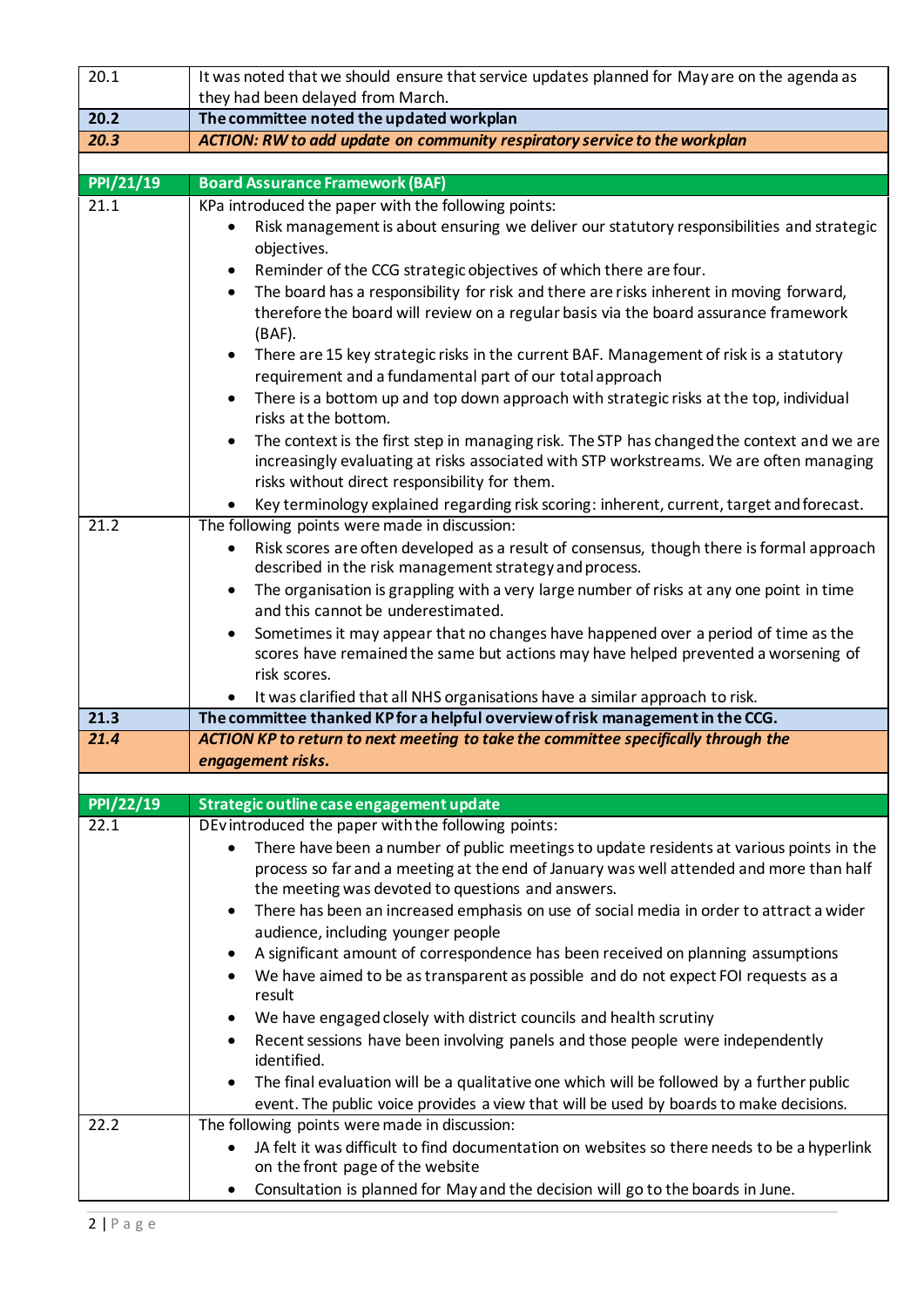| 20.1      | It was noted that we should ensure that service updates planned for May are on the agenda as                                                                                                                                                                                                                                                                                                                                                                                                                                                                                                                 |
|-----------|--------------------------------------------------------------------------------------------------------------------------------------------------------------------------------------------------------------------------------------------------------------------------------------------------------------------------------------------------------------------------------------------------------------------------------------------------------------------------------------------------------------------------------------------------------------------------------------------------------------|
|           | they had been delayed from March.                                                                                                                                                                                                                                                                                                                                                                                                                                                                                                                                                                            |
| 20.2      | The committee noted the updated workplan                                                                                                                                                                                                                                                                                                                                                                                                                                                                                                                                                                     |
| 20.3      | ACTION: RW to add update on community respiratory service to the workplan                                                                                                                                                                                                                                                                                                                                                                                                                                                                                                                                    |
|           |                                                                                                                                                                                                                                                                                                                                                                                                                                                                                                                                                                                                              |
| PPI/21/19 | <b>Board Assurance Framework (BAF)</b>                                                                                                                                                                                                                                                                                                                                                                                                                                                                                                                                                                       |
| 21.1      | KPa introduced the paper with the following points:<br>Risk management is about ensuring we deliver our statutory responsibilities and strategic<br>objectives.<br>Reminder of the CCG strategic objectives of which there are four.<br>٠<br>The board has a responsibility for risk and there are risks inherent in moving forward,<br>$\bullet$<br>therefore the board will review on a regular basis via the board assurance framework<br>$(BAF)$ .<br>There are 15 key strategic risks in the current BAF. Management of risk is a statutory<br>requirement and a fundamental part of our total approach |
|           | There is a bottom up and top down approach with strategic risks at the top, individual<br>risks at the bottom.<br>The context is the first step in managing risk. The STP has changed the context and we are<br>increasingly evaluating at risks associated with STP workstreams. We are often managing<br>risks without direct responsibility for them.                                                                                                                                                                                                                                                     |
| 21.2      | Key terminology explained regarding risk scoring: inherent, current, target and forecast.<br>The following points were made in discussion:                                                                                                                                                                                                                                                                                                                                                                                                                                                                   |
|           | Risk scores are often developed as a result of consensus, though there is formal approach<br>described in the risk management strategy and process.<br>The organisation is grappling with a very large number of risks at any one point in time<br>and this cannot be underestimated.<br>Sometimes it may appear that no changes have happened over a period of time as the<br>scores have remained the same but actions may have helped prevented a worsening of                                                                                                                                            |
|           | risk scores.<br>It was clarified that all NHS organisations have a similar approach to risk.                                                                                                                                                                                                                                                                                                                                                                                                                                                                                                                 |
| 21.3      | The committee thanked KP for a helpful overview of risk management in the CCG.                                                                                                                                                                                                                                                                                                                                                                                                                                                                                                                               |
| 21.4      | ACTION KP to return to next meeting to take the committee specifically through the                                                                                                                                                                                                                                                                                                                                                                                                                                                                                                                           |
|           | engagement risks.                                                                                                                                                                                                                                                                                                                                                                                                                                                                                                                                                                                            |
|           |                                                                                                                                                                                                                                                                                                                                                                                                                                                                                                                                                                                                              |
| PPI/22/19 | Strategic outline case engagement update                                                                                                                                                                                                                                                                                                                                                                                                                                                                                                                                                                     |
| 22.1      | DEvintroduced the paper with the following points:<br>There have been a number of public meetings to update residents at various points in the<br>process so far and a meeting at the end of January was well attended and more than half<br>the meeting was devoted to questions and answers.                                                                                                                                                                                                                                                                                                               |
|           | There has been an increased emphasis on use of social media in order to attract a wider<br>audience, including younger people<br>A significant amount of correspondence has been received on planning assumptions<br>We have aimed to be as transparent as possible and do not expect FOI requests as a<br>result<br>We have engaged closely with district councils and health scrutiny<br>Recent sessions have been involving panels and those people were independently                                                                                                                                    |
|           | identified.<br>The final evaluation will be a qualitative one which will be followed by a further public<br>event. The public voice provides a view that will be used by boards to make decisions.                                                                                                                                                                                                                                                                                                                                                                                                           |
| 22.2      | The following points were made in discussion:<br>JA felt it was difficult to find documentation on websites so there needs to be a hyperlink<br>on the front page of the website<br>Consultation is planned for May and the decision will go to the boards in June.                                                                                                                                                                                                                                                                                                                                          |
|           |                                                                                                                                                                                                                                                                                                                                                                                                                                                                                                                                                                                                              |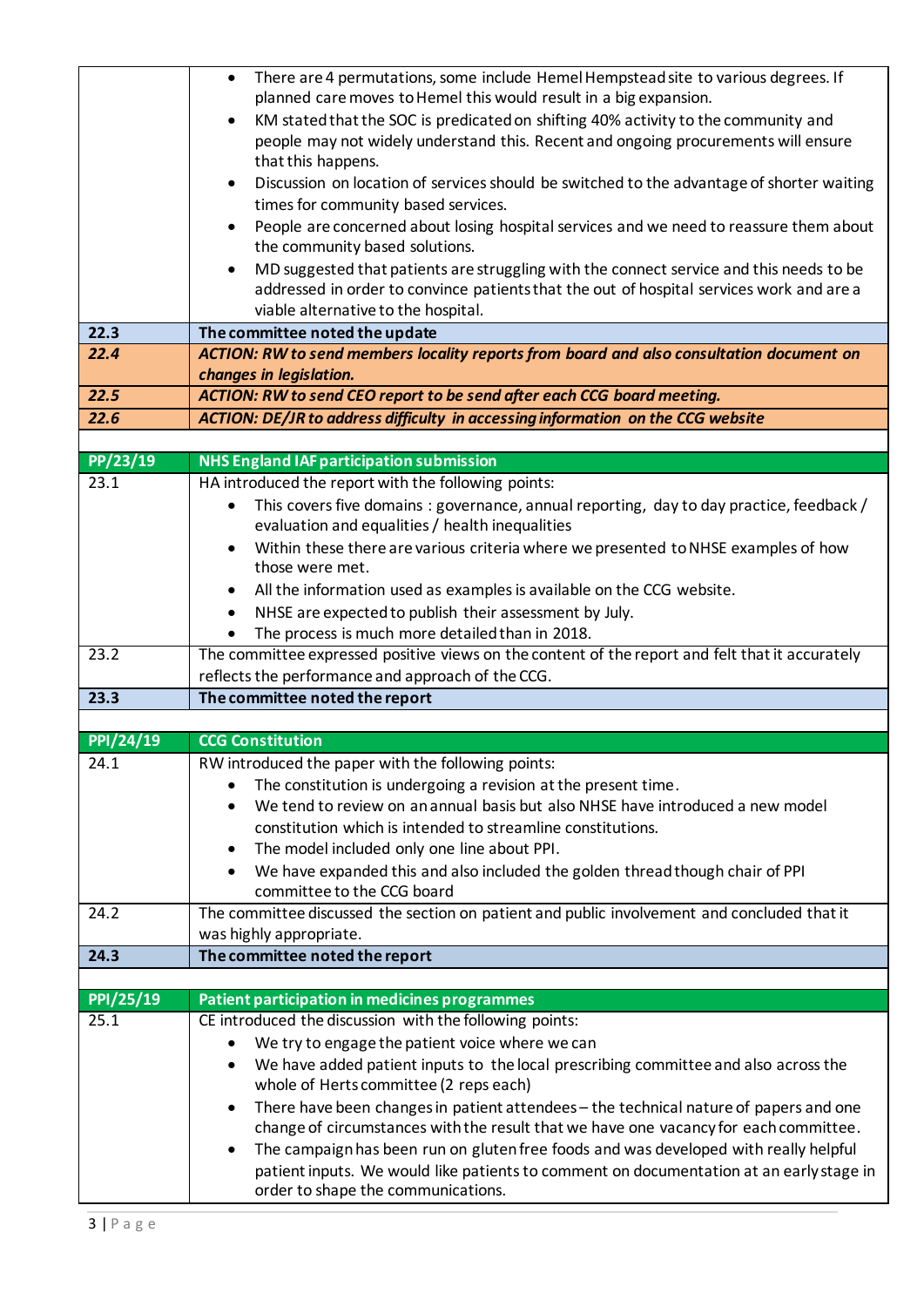|                  | There are 4 permutations, some include Hemel Hempstead site to various degrees. If<br>$\bullet$<br>planned care moves to Hemel this would result in a big expansion. |
|------------------|----------------------------------------------------------------------------------------------------------------------------------------------------------------------|
|                  | KM stated that the SOC is predicated on shifting 40% activity to the community and                                                                                   |
|                  | people may not widely understand this. Recent and ongoing procurements will ensure                                                                                   |
|                  | that this happens.                                                                                                                                                   |
|                  | Discussion on location of services should be switched to the advantage of shorter waiting<br>$\bullet$                                                               |
|                  | times for community based services.                                                                                                                                  |
|                  | People are concerned about losing hospital services and we need to reassure them about                                                                               |
|                  | the community based solutions.                                                                                                                                       |
|                  | MD suggested that patients are struggling with the connect service and this needs to be                                                                              |
|                  | addressed in order to convince patients that the out of hospital services work and are a                                                                             |
|                  | viable alternative to the hospital.                                                                                                                                  |
| 22.3             | The committee noted the update                                                                                                                                       |
| 22.4             | ACTION: RW to send members locality reports from board and also consultation document on                                                                             |
|                  | changes in legislation.                                                                                                                                              |
| 22.5             | ACTION: RW to send CEO report to be send after each CCG board meeting.                                                                                               |
| 22.6             | ACTION: DE/JR to address difficulty in accessing information on the CCG website                                                                                      |
|                  |                                                                                                                                                                      |
| PP/23/19         | <b>NHS England IAF participation submission</b>                                                                                                                      |
| 23.1             | HA introduced the report with the following points:                                                                                                                  |
|                  | This covers five domains : governance, annual reporting, day to day practice, feedback /<br>evaluation and equalities / health inequalities                          |
|                  | Within these there are various criteria where we presented to NHSE examples of how                                                                                   |
|                  | those were met.                                                                                                                                                      |
|                  | All the information used as examples is available on the CCG website.<br>٠                                                                                           |
|                  | NHSE are expected to publish their assessment by July.<br>$\bullet$                                                                                                  |
|                  | The process is much more detailed than in 2018.                                                                                                                      |
| 23.2             | The committee expressed positive views on the content of the report and felt that it accurately                                                                      |
|                  | reflects the performance and approach of the CCG.                                                                                                                    |
| 23.3             | The committee noted the report                                                                                                                                       |
| <b>PPI/24/19</b> | <b>CCG Constitution</b>                                                                                                                                              |
| 24.1             | RW introduced the paper with the following points:                                                                                                                   |
|                  | The constitution is undergoing a revision at the present time.                                                                                                       |
|                  | We tend to review on an annual basis but also NHSE have introduced a new model<br>$\bullet$                                                                          |
|                  | constitution which is intended to streamline constitutions.                                                                                                          |
|                  | The model included only one line about PPI.<br>٠                                                                                                                     |
|                  | We have expanded this and also included the golden thread though chair of PPI<br>$\bullet$                                                                           |
|                  | committee to the CCG board                                                                                                                                           |
| 24.2             | The committee discussed the section on patient and public involvement and concluded that it                                                                          |
|                  | was highly appropriate.                                                                                                                                              |
| 24.3             | The committee noted the report                                                                                                                                       |
|                  |                                                                                                                                                                      |
| PPI/25/19        | Patient participation in medicines programmes                                                                                                                        |
| 25.1             | CE introduced the discussion with the following points:                                                                                                              |
|                  | We try to engage the patient voice where we can                                                                                                                      |
|                  |                                                                                                                                                                      |
|                  | We have added patient inputs to the local prescribing committee and also across the<br>$\bullet$                                                                     |
|                  | whole of Herts committee (2 reps each)                                                                                                                               |
|                  | There have been changes in patient attendees - the technical nature of papers and one                                                                                |
|                  | change of circumstances with the result that we have one vacancy for each committee.                                                                                 |
|                  | The campaign has been run on gluten free foods and was developed with really helpful<br>$\bullet$                                                                    |
|                  | patient inputs. We would like patients to comment on documentation at an early stage in<br>order to shape the communications.                                        |